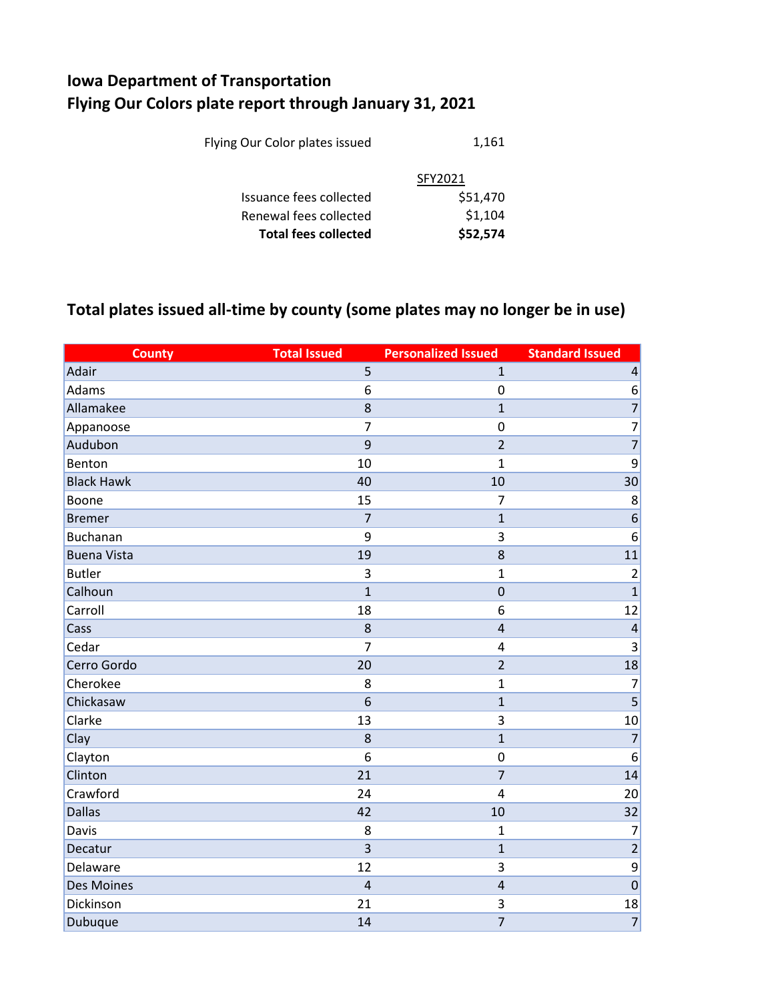## **Iowa Department of Transportation Flying Our Colors plate report through January 31, 2021**

|                                | \$1,104  |
|--------------------------------|----------|
| Renewal fees collected         |          |
| Issuance fees collected        | \$51,470 |
|                                | SFY2021  |
| Flying Our Color plates issued | 1,161    |

## **Total plates issued all-time by county (some plates may no longer be in use)**

| <b>County</b>      | <b>Total Issued</b> | <b>Personalized Issued</b> | <b>Standard Issued</b> |
|--------------------|---------------------|----------------------------|------------------------|
| Adair              | 5                   | $\mathbf{1}$               | $\sqrt{4}$             |
| Adams              | 6                   | $\mathbf 0$                | 6                      |
| Allamakee          | 8                   | $\mathbf{1}$               | $\overline{7}$         |
| Appanoose          | $\overline{7}$      | $\mathbf 0$                | $\overline{7}$         |
| Audubon            | 9                   | $\overline{2}$             | $\overline{7}$         |
| Benton             | 10                  | $\mathbf{1}$               | 9                      |
| <b>Black Hawk</b>  | 40                  | 10                         | 30                     |
| Boone              | 15                  | $\overline{7}$             | 8                      |
| <b>Bremer</b>      | $\overline{7}$      | $\mathbf{1}$               | $\boldsymbol{6}$       |
| <b>Buchanan</b>    | 9                   | $\overline{3}$             | 6                      |
| <b>Buena Vista</b> | 19                  | 8                          | 11                     |
| <b>Butler</b>      | 3                   | $\mathbf 1$                | $\overline{2}$         |
| Calhoun            | $\mathbf{1}$        | $\mathbf 0$                | $\mathbf{1}$           |
| Carroll            | 18                  | 6                          | 12                     |
| Cass               | 8                   | $\overline{4}$             | $\overline{a}$         |
| Cedar              | $\overline{7}$      | $\overline{4}$             | 3                      |
| Cerro Gordo        | 20                  | $\overline{2}$             | 18                     |
| Cherokee           | 8                   | $\mathbf{1}$               | $\overline{7}$         |
| Chickasaw          | 6                   | $\mathbf{1}$               | $\overline{5}$         |
| Clarke             | 13                  | $\overline{3}$             | 10                     |
| Clay               | 8                   | $\mathbf{1}$               | $\overline{7}$         |
| Clayton            | 6                   | $\mathbf 0$                | 6                      |
| Clinton            | 21                  | $\overline{7}$             | 14                     |
| Crawford           | 24                  | $\overline{4}$             | 20                     |
| <b>Dallas</b>      | 42                  | 10                         | 32                     |
| Davis              | 8                   | $\mathbf 1$                | $\overline{7}$         |
| Decatur            | $\overline{3}$      | $\mathbf{1}$               | $\overline{2}$         |
| Delaware           | 12                  | 3                          | 9                      |
| <b>Des Moines</b>  | $\overline{4}$      | $\overline{a}$             | $\mathbf 0$            |
| Dickinson          | 21                  | $\overline{3}$             | 18                     |
| Dubuque            | 14                  | $\overline{7}$             | $\overline{7}$         |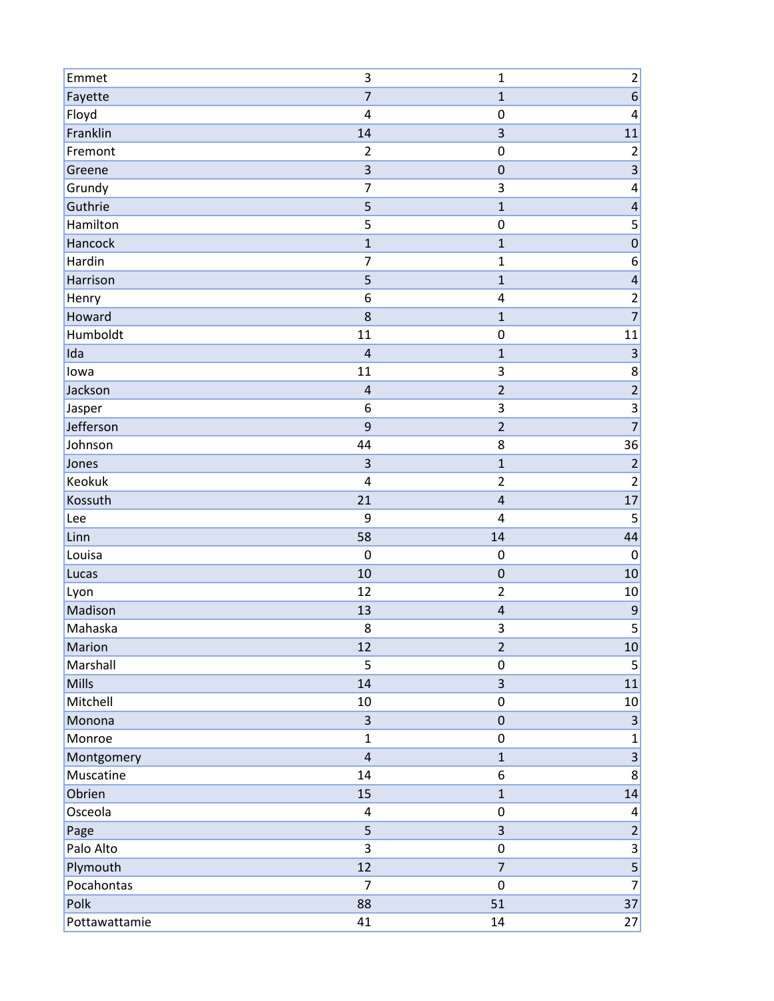| Emmet           | 3                       | $\mathbf 1$                | $\overline{\mathbf{c}}$  |
|-----------------|-------------------------|----------------------------|--------------------------|
| Fayette         | $\overline{7}$          | $\mathbf{1}$               | $\overline{6}$           |
| Floyd           | 4                       | $\mathbf 0$                | 4                        |
| Franklin        | 14                      | 3                          | 11                       |
| Fremont         | $\overline{2}$          | $\mathbf 0$                | $\overline{c}$           |
| Greene          | 3                       | $\mathbf 0$                | $\overline{\mathbf{3}}$  |
| Grundy          | $\overline{7}$          | 3                          | $\overline{\mathbf{4}}$  |
| Guthrie         | 5                       | $\mathbf{1}$               | $\overline{\mathcal{L}}$ |
| Hamilton        | 5                       | $\mathbf 0$                | 5                        |
| Hancock         | $\mathbf{1}$            | $\mathbf{1}$               | $\overline{0}$           |
| Hardin          | $\overline{7}$          | $\mathbf 1$                | 6                        |
| Harrison        | 5                       | $\mathbf{1}$               | $\overline{\mathbf{r}}$  |
| Henry           | 6                       | $\overline{\mathbf{4}}$    | $\overline{2}$           |
| Howard          | 8                       | $\mathbf{1}$               | $\overline{7}$           |
| Humboldt        | 11                      | $\mathbf 0$                | 11                       |
| Ida             | $\overline{\mathbf{r}}$ | $\mathbf 1$                | $\overline{3}$           |
| lowa            | 11                      | 3                          | 8                        |
| Jackson         | $\overline{\mathbf{r}}$ | $\overline{2}$             | $\overline{2}$           |
| Jasper          | 6                       | 3                          |                          |
| Jefferson       | 9                       | $\overline{2}$             | $\overline{7}$           |
| Johnson         | 44                      | 8                          | 36                       |
| Jones           | 3                       | $\mathbf{1}$               | $\overline{c}$           |
| Keokuk          | 4                       | $\overline{2}$             | $\mathbf 2$              |
| Kossuth         | 21                      | $\overline{a}$             | 17                       |
| Lee             | 9                       | 4                          | 5                        |
| Linn            | 58                      | 14                         | 44                       |
| Louisa          | $\mathbf 0$<br>10       | $\mathbf 0$<br>$\mathbf 0$ | $\mathbf 0$              |
| Lucas           | 12                      | $\overline{2}$             | 10                       |
| Lyon<br>Madison | 13                      | $\overline{\mathbf{r}}$    | 10<br>$\overline{9}$     |
| Mahaska         | 8                       | 3                          | 5                        |
| Marion          | 12                      | $\overline{2}$             | 10                       |
| Marshall        | 5                       | $\pmb{0}$                  | $\overline{5}$           |
| Mills           | 14                      | $\overline{3}$             | 11                       |
| Mitchell        | 10                      | $\pmb{0}$                  | 10                       |
| Monona          | 3                       | $\pmb{0}$                  | $\overline{3}$           |
| Monroe          | $\mathbf{1}$            | $\pmb{0}$                  | $\mathbf 1$              |
| Montgomery      | $\overline{\mathbf{r}}$ | $\mathbf 1$                | $\overline{3}$           |
| Muscatine       | 14                      | $\boldsymbol{6}$           | $\mathbf{8}$             |
| Obrien          | 15                      | $\mathbf{1}$               | 14                       |
| Osceola         | 4                       | $\pmb{0}$                  | 4                        |
| Page            | 5                       | $\overline{3}$             | $\overline{2}$           |
| Palo Alto       | 3                       | $\pmb{0}$                  | $\overline{3}$           |
| Plymouth        | 12                      | $\overline{7}$             | $\overline{\mathbf{5}}$  |
| Pocahontas      | $\overline{7}$          | $\pmb{0}$                  | $\overline{7}$           |
| Polk            | 88                      | 51                         | 37                       |
| Pottawattamie   | 41                      | 14                         | 27                       |